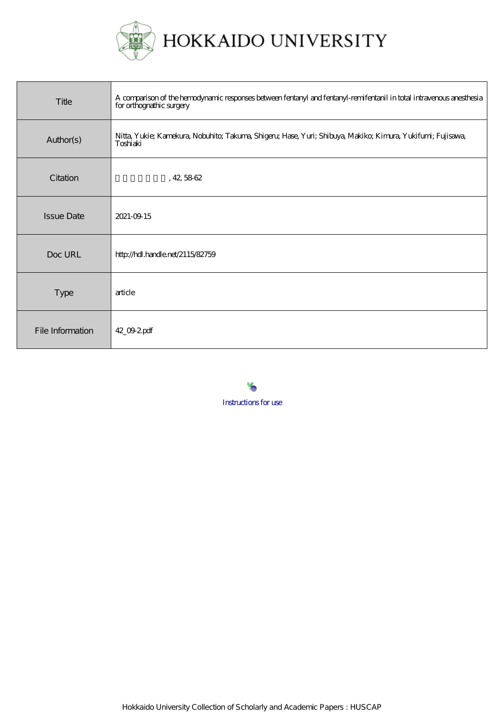

HOKKAIDO UNIVERSITY

| Title             | A comparison of the hemodynamic responses between fentaryl and fentaryl-remifentaril in total intravenous anesthesia<br>for orthograthic surgery |
|-------------------|--------------------------------------------------------------------------------------------------------------------------------------------------|
| Author(s)         | Nitta, Yukie; Kamekura, Nobuhito; Takuma, Shigeru; Hase, Yuri; Shibuya, Makiko; Kimura, Yukifumi; Fujisawa,<br>Toshiaki                          |
| Citation          | , 42, 5862                                                                                                                                       |
| <b>Issue Date</b> | 2021-09-15                                                                                                                                       |
| Doc URL           | http://hdl.handle.net/2115/82759                                                                                                                 |
| Type              | article                                                                                                                                          |
| File Information  | 42_09.2pdf                                                                                                                                       |



[Instructions for use](https://eprints.lib.hokudai.ac.jp/dspace/about.en.jsp)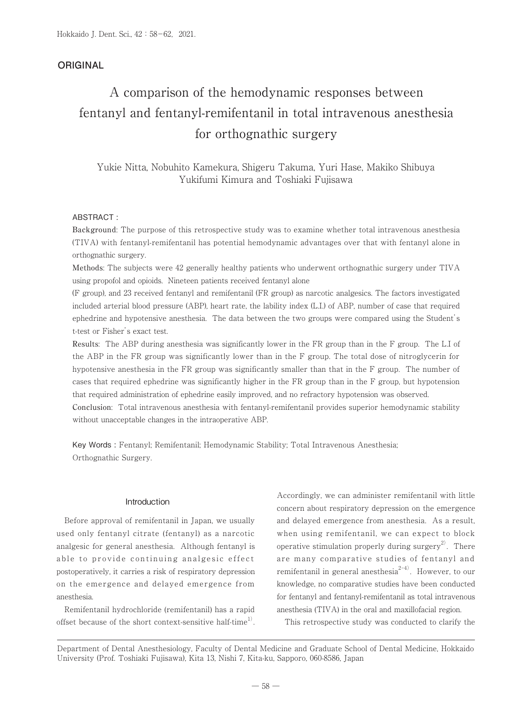# **ORIGINAL**

# A comparison of the hemodynamic responses between fentanyl and fentanyl-remifentanil in total intravenous anesthesia for orthognathic surgery

Yukie Nitta, Nobuhito Kamekura, Shigeru Takuma, Yuri Hase, Makiko Shibuya Yukifumi Kimura and Toshiaki Fujisawa

# ABSTRACT :

Background: The purpose of this retrospective study was to examine whether total intravenous anesthesia (TIVA) with fentanyl-remifentanil has potential hemodynamic advantages over that with fentanyl alone in orthognathic surgery.

Methods: The subjects were 42 generally healthy patients who underwent orthognathic surgery under TIVA using propofol and opioids. Nineteen patients received fentanyl alone

(F group), and 23 received fentanyl and remifentanil (FR group) as narcotic analgesics. The factors investigated included arterial blood pressure (ABP), heart rate, the lability index (L.I.) of ABP, number of case that required ephedrine and hypotensive anesthesia. The data between the two groups were compared using the Student's t-test or Fisher's exact test.

Results: The ABP during anesthesia was significantly lower in the FR group than in the F group. The L.I of the ABP in the FR group was significantly lower than in the F group. The total dose of nitroglycerin for hypotensive anesthesia in the FR group was significantly smaller than that in the F group. The number of cases that required ephedrine was significantly higher in the FR group than in the F group, but hypotension that required administration of ephedrine easily improved, and no refractory hypotension was observed.

Conclusion: Total intravenous anesthesia with fentanyl-remifentanil provides superior hemodynamic stability without unacceptable changes in the intraoperative ABP.

Key Words : Fentanyl; Remifentanil; Hemodynamic Stability; Total Intravenous Anesthesia; Orthognathic Surgery.

# Introduction

 Before approval of remifentanil in Japan, we usually used only fentanyl citrate (fentanyl) as a narcotic analgesic for general anesthesia. Although fentanyl is able to provide continuing analgesic effect postoperatively, it carries a risk of respiratory depression on the emergence and delayed emergence from anesthesia.

 Remifentanil hydrochloride (remifentanil) has a rapid offset because of the short context-sensitive half-time<sup>1)</sup>. Accordingly, we can administer remifentanil with little concern about respiratory depression on the emergence and delayed emergence from anesthesia. As a result, when using remifentanil, we can expect to block operative stimulation properly during surgery<sup>2)</sup>. There are many comparative studies of fentanyl and remifentanil in general anesthesia $^{2-4)}$ . However, to our knowledge, no comparative studies have been conducted for fentanyl and fentanyl-remifentanil as total intravenous anesthesia (TIVA) in the oral and maxillofacial region.

This retrospective study was conducted to clarify the

Department of Dental Anesthesiology, Faculty of Dental Medicine and Graduate School of Dental Medicine, Hokkaido University (Prof. Toshiaki Fujisawa), Kita 13, Nishi 7, Kita-ku, Sapporo, 060-8586, Japan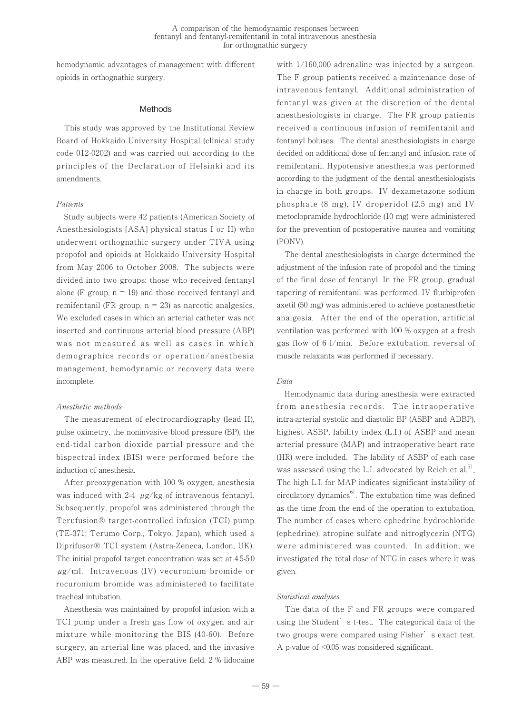hemodynamic advantages of management with different opioids in orthognathic surgery.

#### **Methods**

 This study was approved by the Institutional Review Board of Hokkaido University Hospital (clinical study code 012-0202) and was carried out according to the principles of the Declaration of Helsinki and its amendments.

#### Patients

 Study subjects were 42 patients (American Society of Anesthesiologists [ASA] physical status I or II) who underwent orthognathic surgery under TIVA using propofol and opioids at Hokkaido University Hospital from May 2006 to October 2008. The subjects were divided into two groups: those who received fentanyl alone (F group,  $n = 19$ ) and those received fentanyl and remifentanil (FR group,  $n = 23$ ) as narcotic analgesics. We excluded cases in which an arterial catheter was not inserted and continuous arterial blood pressure (ABP) was not measured as well as cases in which demographics records or operation/anesthesia management, hemodynamic or recovery data were incomplete.

#### Anesthetic methods

 The measurement of electrocardiography (lead II), pulse oximetry, the noninvasive blood pressure (BP), the end-tidal carbon dioxide partial pressure and the bispectral index (BIS) were performed before the induction of anesthesia.

 After preoxygenation with 100 % oxygen, anesthesia was induced with 2-4  $\mu$ g/kg of intravenous fentanyl. Subsequently, propofol was administered through the Terufusion® target-controlled infusion (TCI) pump (TE-371; Terumo Corp., Tokyo, Japan), which used a Diprifusor® TCI system (Astra-Zeneca, London, UK). The initial propofol target concentration was set at 4.5-5.0 μg/ml. Intravenous (IV) vecuronium bromide or rocuronium bromide was administered to facilitate tracheal intubation.

 Anesthesia was maintained by propofol infusion with a TCI pump under a fresh gas flow of oxygen and air mixture while monitoring the BIS (40-60). Before surgery, an arterial line was placed, and the invasive ABP was measured. In the operative field, 2 % lidocaine with 1/160,000 adrenaline was injected by a surgeon. The F group patients received a maintenance dose of intravenous fentanyl. Additional administration of fentanyl was given at the discretion of the dental anesthesiologists in charge. The FR group patients received a continuous infusion of remifentanil and fentanyl boluses. The dental anesthesiologists in charge decided on additional dose of fentanyl and infusion rate of remifentanil. Hypotensive anesthesia was performed according to the judgment of the dental anesthesiologists in charge in both groups. IV dexametazone sodium phosphate (8 mg), IV droperidol (2.5 mg) and IV metoclopramide hydrochloride (10 mg) were administered for the prevention of postoperative nausea and vomiting (PONV).

 The dental anesthesiologists in charge determined the adjustment of the infusion rate of propofol and the timing of the final dose of fentanyl. In the FR group, gradual tapering of remifentanil was performed. IV flurbiprofen axetil (50 mg) was administered to achieve postanesthetic analgesia. After the end of the operation, artificial ventilation was performed with 100 % oxygen at a fresh gas flow of 6 l/min. Before extubation, reversal of muscle relaxants was performed if necessary.

#### Data

 Hemodynamic data during anesthesia were extracted from anesthesia records. The intraoperative intra-arterial systolic and diastolic BP (ASBP and ADBP), highest ASBP, lability index (L.I.) of ASBP and mean arterial pressure (MAP) and intraoperative heart rate (HR) were included. The lability of ASBP of each case was assessed using the L.I. advocated by Reich et al. $^{5)}$ . The high L.I. for MAP indicates significant instability of circulatory dynamics $6$ . The extubation time was defined as the time from the end of the operation to extubation. The number of cases where ephedrine hydrochloride (ephedrine), atropine sulfate and nitroglycerin (NTG) were administered was counted. In addition, we investigated the total dose of NTG in cases where it was given.

# Statistical analyses

 The data of the F and FR groups were compared using the Student's t-test. The categorical data of the two groups were compared using Fisher's exact test. A p-value of <0.05 was considered significant.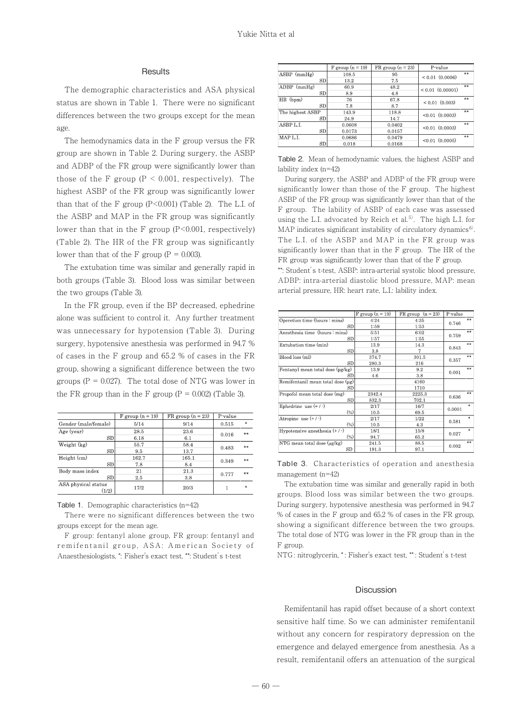#### **Results**

 The demographic characteristics and ASA physical status are shown in Table 1. There were no significant differences between the two groups except for the mean age.

 The hemodynamics data in the F group versus the FR group are shown in Table 2. During surgery, the ASBP and ADBP of the FR group were significantly lower than those of the F group ( $P < 0.001$ , respectively). The highest ASBP of the FR group was significantly lower than that of the F group  $(P<0.001)$  (Table 2). The L.I. of the ASBP and MAP in the FR group was significantly lower than that in the F group (P<0.001, respectively) (Table 2). The HR of the FR group was significantly lower than that of the F group ( $P = 0.003$ ).

 The extubation time was similar and generally rapid in both groups (Table 3). Blood loss was similar between the two groups (Table 3).

 In the FR group, even if the BP decreased, ephedrine alone was sufficient to control it. Any further treatment was unnecessary for hypotension (Table 3). During surgery, hypotensive anesthesia was performed in 94.7 % of cases in the F group and 65.2 % of cases in the FR group, showing a significant difference between the two groups  $(P = 0.027)$ . The total dose of NTG was lower in the FR group than in the F group ( $P = 0.002$ ) (Table 3).

|                              | F group $(n = 19)$ | $FR$ group $(n = 23)$ | P-value     |                    |
|------------------------------|--------------------|-----------------------|-------------|--------------------|
| Gender (male/female)         | 5/14               | 9/14                  | 0.515       | $\dot{\mathbf{x}}$ |
| Age (year)                   | 28.5               | 23.6                  | **<br>0.016 |                    |
| <b>SD</b>                    | 6.18               | 6.1                   |             |                    |
| Weight (kg)                  | 55.7               | 58.4                  | 0.483       | **                 |
| SD                           | 9.5                | 13.7                  |             |                    |
| Height (cm)                  | 162.7              | 165.1                 | 0.349       | **                 |
| <b>SD</b>                    | 7.8                | 8.4                   |             |                    |
| Body mass index              | 21                 | 21.3                  | 0.777       | **                 |
| <b>SD</b>                    | 2.5                | 3.8                   |             |                    |
| ASA physical status<br>(1/2) | 17/2               | 20/3                  |             | ÷                  |

Table 1. Demographic characteristics (n=42)

 There were no significant differences between the two groups except for the mean age.

 F group: fentanyl alone group, FR group: fentanyl and remifentanil group, ASA: American Society of Anaesthesiologists, \*: Fisher's exact test, \*\*: Student's t-test

|                  | $F$ group $(n = 19)$ | $FR$ group $(n = 23)$ | P-value              |    |
|------------------|----------------------|-----------------------|----------------------|----|
| $ASBP$ (mmHg)    | 108.5                | 95                    | $< 0.01$ (0.0006)    | ** |
| <b>SD</b>        | 13.2                 | 7.5                   |                      |    |
| $ADBP$ (mmHg)    | 60.9                 | 48.2                  | $< 0.01$ $(0.00001)$ | ** |
| <b>SD</b>        | 8.9                  | 4.8                   |                      |    |
| HR (bpm)         | 76                   | 67.8                  | $< 0.01$ $(0.003)$   | ** |
| <b>SD</b>        | 7.8                  | 8.7                   |                      |    |
| The highest ASBP | 143.9                | 118.8                 | $< 0.01$ $(0.0003)$  | ** |
| <b>SD</b>        | 24.9                 | 14.7                  |                      |    |
| ASBP L.L         | 0.0608               | 0.0402                | $< 0.01$ $(0.0003)$  | ** |
| SD               | 0.0173               | 0.0157                |                      |    |
| MAP L.I.         | 0.0686               | 0.0479                | $< 0.01$ $(0.0005)$  | ** |
| SD               | 0.018                | 0.0168                |                      |    |

Table 2. Mean of hemodynamic values, the highest ASBP and lability index (n=42)

 During surgery, the ASBP and ADBP of the FR group were significantly lower than those of the F group. The highest ASBP of the FR group was significantly lower than that of the F group. The lability of ASBP of each case was assessed using the L.I. advocated by Reich et al.<sup>5)</sup>. The high L.I. for MAP indicates significant instability of circulatory dynamics<sup>6)</sup>. The L.I. of the ASBP and MAP in the FR group was significantly lower than that in the F group. The HR of the FR group was significantly lower than that of the F group.

\*\*: Student's t-test, ASBP: intra-arterial systolic blood pressure, ADBP: intra-arterial diastolic blood pressure, MAP: mean arterial pressure, HR: heart rate, L.I.: lability index.

|                                      | $F$ group $(n = 19)$ | FR group $(n = 23)$ | P-value |           |
|--------------------------------------|----------------------|---------------------|---------|-----------|
| Operetion time (hours : mins)        | 4:24                 | 4:35                | 0.746   | **        |
| SD                                   | 1:59                 | 1:53                |         |           |
| Anesthesia time (hours : mins)       | 5:51                 | 6:02                | 0.759   | o o       |
| SD                                   | 1:57                 | 1:55                |         |           |
| Extubation time (min)                | 13.9                 | 14.3                | 0.843   | $**$      |
| SD                                   | 3.8                  | 7                   |         |           |
| Blood loss (ml)                      | 374.7                | 301.5               | 0.357   | **        |
| SD                                   | 280.3                | 216                 |         |           |
| Fentanyl mean total dose (µg/kg)     | 13.9                 | 9.2                 | 0.001   | <b>GG</b> |
| SD                                   | 4.6                  | 3.8                 |         |           |
| Remifentanil mean total dose (µg)    |                      | 4160                |         |           |
| SD                                   |                      | 1710                |         |           |
| Propofol mean total dose (mg)        | 2342.4               | 2225.3              | 0.636   | **        |
| SD                                   | 832.3                | 702.1               |         |           |
| Ephedrine use $(+/-)$                | 2/17                 | 16/7                | 0.0001  | ŵ         |
| $(\%)$                               | 10.5                 | 69.5                |         |           |
| Atropine use $(+/-)$                 | 2/17                 | 1/22                | 0.581   | $\Phi$    |
| $(\%)$                               | 10.5                 | 4.3                 |         |           |
| Hypotensive anesthesia $(+ / \cdot)$ | 18/1                 | 15/8                | 0.027   | ÷.        |
| $(\%)$                               | 94.7                 | 65.2                |         |           |
| NTG mean total dose (µg/kg)          | 241.5                | 88.5                |         | e e       |
| SD.                                  | 191.3                | 97.1                | 0.002   |           |

Table 3. Characteristics of operation and anesthesia management (n=42)

 The extubation time was similar and generally rapid in both groups. Blood loss was similar between the two groups. During surgery, hypotensive anesthesia was performed in 94.7 % of cases in the F group and 65.2 % of cases in the FR group, showing a significant difference between the two groups. The total dose of NTG was lower in the FR group than in the F group.

NTG : nitroglycerin, \* : Fisher's exact test, \*\* : Student's t-test

#### Discussion

 Remifentanil has rapid offset because of a short context sensitive half time. So we can administer remifentanil without any concern for respiratory depression on the emergence and delayed emergence from anesthesia. As a result, remifentanil offers an attenuation of the surgical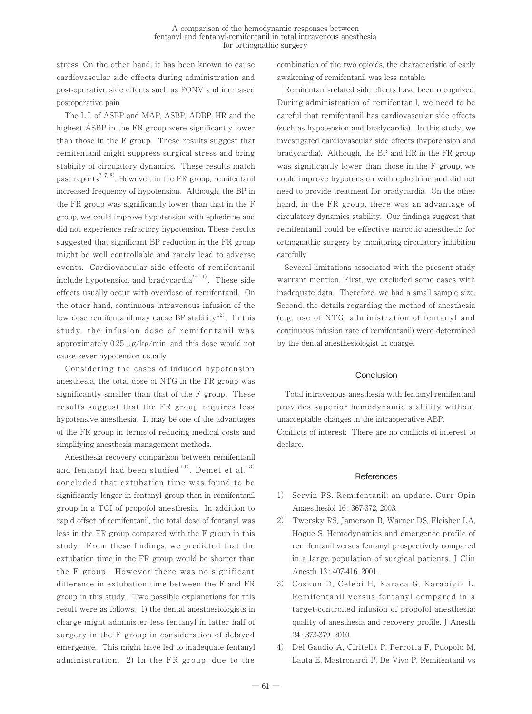stress. On the other hand, it has been known to cause cardiovascular side effects during administration and post-operative side effects such as PONV and increased postoperative pain.

 The L.I. of ASBP and MAP, ASBP, ADBP, HR and the highest ASBP in the FR group were significantly lower than those in the F group. These results suggest that remifentanil might suppress surgical stress and bring stability of circulatory dynamics. These results match past reports<sup>2, 7, 8)</sup>. However, in the FR group, remifentanil increased frequency of hypotension. Although, the BP in the FR group was significantly lower than that in the F group, we could improve hypotension with ephedrine and did not experience refractory hypotension. These results suggested that significant BP reduction in the FR group might be well controllable and rarely lead to adverse events. Cardiovascular side effects of remifentanil include hypotension and bradycardia $9-11$ . These side effects usually occur with overdose of remifentanil. On the other hand, continuous intravenous infusion of the low dose remifentanil may cause BP stability $^{12)}$ . In this study, the infusion dose of remifentanil was approximately 0.25 µg/kg/min, and this dose would not cause sever hypotension usually.

 Considering the cases of induced hypotension anesthesia, the total dose of NTG in the FR group was significantly smaller than that of the F group. These results suggest that the FR group requires less hypotensive anesthesia. It may be one of the advantages of the FR group in terms of reducing medical costs and simplifying anesthesia management methods.

 Anesthesia recovery comparison between remifentanil and fentanyl had been studied $^{13)}$ . Demet et al. $^{13)}$ concluded that extubation time was found to be significantly longer in fentanyl group than in remifentanil group in a TCI of propofol anesthesia. In addition to rapid offset of remifentanil, the total dose of fentanyl was less in the FR group compared with the F group in this study. From these findings, we predicted that the extubation time in the FR group would be shorter than the F group. However there was no significant difference in extubation time between the F and FR group in this study. Two possible explanations for this result were as follows: 1) the dental anesthesiologists in charge might administer less fentanyl in latter half of surgery in the F group in consideration of delayed emergence. This might have led to inadequate fentanyl administration. 2) In the FR group, due to the

combination of the two opioids, the characteristic of early awakening of remifentanil was less notable.

 Remifentanil-related side effects have been recognized. During administration of remifentanil, we need to be careful that remifentanil has cardiovascular side effects (such as hypotension and bradycardia). In this study, we investigated cardiovascular side effects (hypotension and bradycardia). Although, the BP and HR in the FR group was significantly lower than those in the F group, we could improve hypotension with ephedrine and did not need to provide treatment for bradycardia. On the other hand, in the FR group, there was an advantage of circulatory dynamics stability. Our findings suggest that remifentanil could be effective narcotic anesthetic for orthognathic surgery by monitoring circulatory inhibition carefully.

 Several limitations associated with the present study warrant mention. First, we excluded some cases with inadequate data. Therefore, we had a small sample size. Second, the details regarding the method of anesthesia (e.g. use of NTG, administration of fentanyl and continuous infusion rate of remifentanil) were determined by the dental anesthesiologist in charge.

#### **Conclusion**

 Total intravenous anesthesia with fentanyl-remifentanil provides superior hemodynamic stability without unacceptable changes in the intraoperative ABP. Conflicts of interest: There are no conflicts of interest to declare.

#### **References**

- 1) Servin FS. Remifentanil: an update. Curr Opin Anaesthesiol 16 : 367-372, 2003.
- 2) Twersky RS, Jamerson B, Warner DS, Fleisher LA, Hogue S. Hemodynamics and emergence profile of remifentanil versus fentanyl prospectively compared in a large population of surgical patients. J Clin Anesth 13 : 407-416, 2001.
- 3) Coskun D, Celebi H, Karaca G, Karabiyik L. Remifentanil versus fentanyl compared in a target-controlled infusion of propofol anesthesia: quality of anesthesia and recovery profile. J Anesth 24 : 373-379, 2010.
- 4) Del Gaudio A, Ciritella P, Perrotta F, Puopolo M, Lauta E, Mastronardi P, De Vivo P. Remifentanil vs